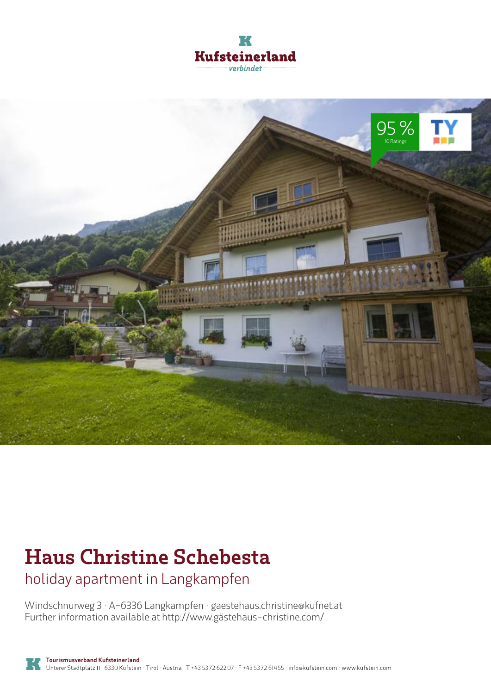



# **Haus Christine Schebesta**

holiday apartment in Langkampfen

Windschnurweg 3 · A-6336 Langkampfen · **gaestehaus.christine@kufnet.at** Further information available at **http://www.gästehaus-christine.com/**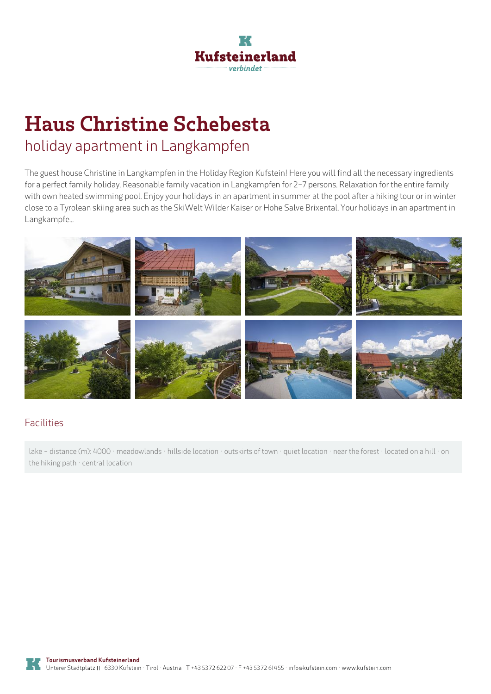

## **Haus Christine Schebesta** holiday apartment in Langkampfen

The guest house Christine in Langkampfen in the Holiday Region Kufstein! Here you will find all the necessary ingredients for <sup>a</sup> perfect family holiday. Reasonable family vacation in Langkampfen for 2-7 persons. Relaxation for the entire family with own heated swimming pool. Enjoy your holidays in an apartment in summer at the pool after a hiking tour or in winter close to <sup>a</sup> Tyrolean skiing area such as the SkiWelt Wilder Kaiser or Hohe Salve Brixental. Your holidays in an apartment in Langkampfe...



#### Facilities

lake - distance (m): 4000 · meadowlands · hillside location · outskirts of town · quiet location · near the forest · located on a hill · on the hiking path · central location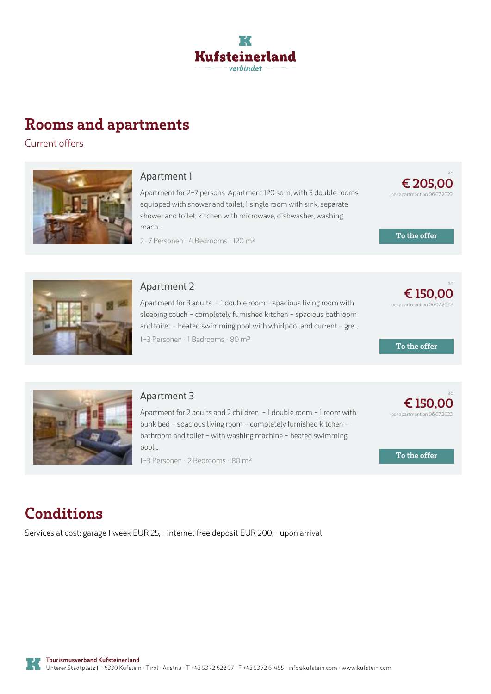

## **Rooms and apartments**

Current offers



#### **[Apartment](https://www.kufstein.com/en/book/langkampfen/holiday-apartment/haus-christine-schebesta.html?utm_medium=PDF&utm_campaign=Vermieter-Prospekt&utm_source=Haus+Christine+Schebesta) 1**

Apartment for 2-7 persons Apartment 120 sqm, with 3 double rooms equipped with shower and toilet, 1 single room with sink, separate shower and toilet, kitchen with microwave, dishwasher, washing mach...

2-7 Personen · 4 Bedrooms · 120 m<sup>2</sup>

**€ 205,00** per apartment on 06.07.2022

ab

**To the offer**



#### **[Apartment](https://www.kufstein.com/en/book/langkampfen/holiday-apartment/haus-christine-schebesta.html?utm_medium=PDF&utm_campaign=Vermieter-Prospekt&utm_source=Haus+Christine+Schebesta) 2**

Apartment for 3 adults - 1 double room - spacious living room with sleeping couch - completely furnished kitchen - spacious bathroom and toilet - heated swimming pool with whirlpool and current - gre...

1-3 Personen · 1 Bedrooms · 80 <sup>m</sup><sup>²</sup>

ab **€ 150,00** per apartment on 06.07.2022

**To the offer**



#### **[Apartment](https://www.kufstein.com/en/book/langkampfen/holiday-apartment/haus-christine-schebesta.html?utm_medium=PDF&utm_campaign=Vermieter-Prospekt&utm_source=Haus+Christine+Schebesta) 3**

Apartment for 2 adults and 2 children - 1 double room - 1 room with bunk bed - spacious living room - completely furnished kitchen bathroom and toilet - with washing machine - heated swimming pool ...

1-3 Personen · 2 Bedrooms · 80 <sup>m</sup><sup>²</sup>



**To the offer**

## **Conditions**

Services at cost: garage 1 week EUR 25,- internet free deposit EUR 200,- upon arrival